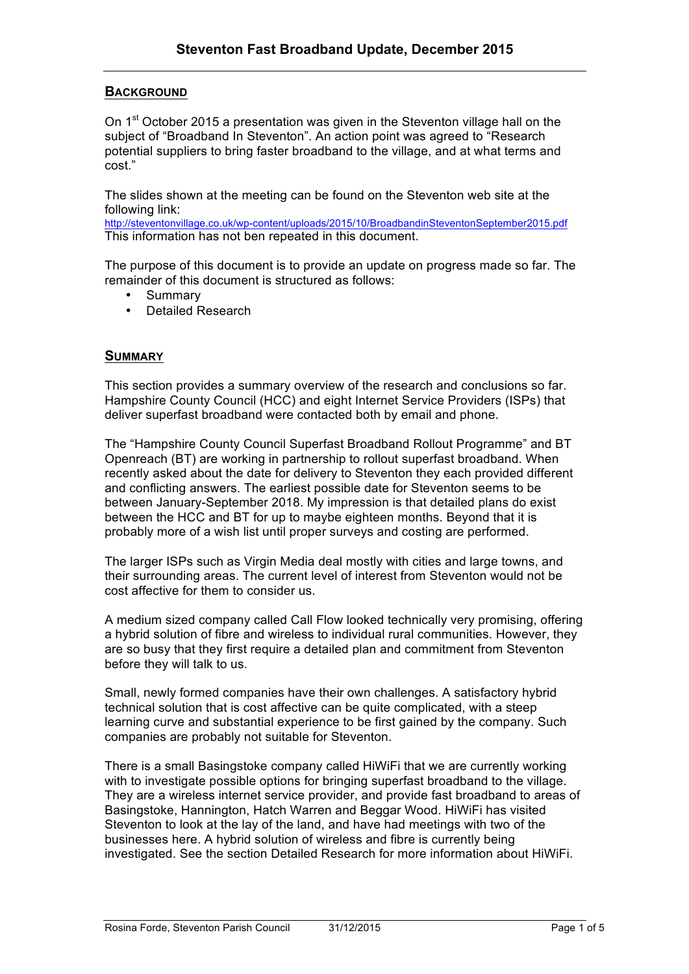# **BACKGROUND**

On 1<sup>st</sup> October 2015 a presentation was given in the Steventon village hall on the subject of "Broadband In Steventon". An action point was agreed to "Research potential suppliers to bring faster broadband to the village, and at what terms and cost."

The slides shown at the meeting can be found on the Steventon web site at the following link:

http://steventonvillage.co.uk/wp-content/uploads/2015/10/BroadbandinSteventonSeptember2015.pdf This information has not ben repeated in this document.

The purpose of this document is to provide an update on progress made so far. The remainder of this document is structured as follows:

- Summary
- Detailed Research

## **SUMMARY**

This section provides a summary overview of the research and conclusions so far. Hampshire County Council (HCC) and eight Internet Service Providers (ISPs) that deliver superfast broadband were contacted both by email and phone.

The "Hampshire County Council Superfast Broadband Rollout Programme" and BT Openreach (BT) are working in partnership to rollout superfast broadband. When recently asked about the date for delivery to Steventon they each provided different and conflicting answers. The earliest possible date for Steventon seems to be between January-September 2018. My impression is that detailed plans do exist between the HCC and BT for up to maybe eighteen months. Beyond that it is probably more of a wish list until proper surveys and costing are performed.

The larger ISPs such as Virgin Media deal mostly with cities and large towns, and their surrounding areas. The current level of interest from Steventon would not be cost affective for them to consider us.

A medium sized company called Call Flow looked technically very promising, offering a hybrid solution of fibre and wireless to individual rural communities. However, they are so busy that they first require a detailed plan and commitment from Steventon before they will talk to us.

Small, newly formed companies have their own challenges. A satisfactory hybrid technical solution that is cost affective can be quite complicated, with a steep learning curve and substantial experience to be first gained by the company. Such companies are probably not suitable for Steventon.

There is a small Basingstoke company called HiWiFi that we are currently working with to investigate possible options for bringing superfast broadband to the village. They are a wireless internet service provider, and provide fast broadband to areas of Basingstoke, Hannington, Hatch Warren and Beggar Wood. HiWiFi has visited Steventon to look at the lay of the land, and have had meetings with two of the businesses here. A hybrid solution of wireless and fibre is currently being investigated. See the section Detailed Research for more information about HiWiFi.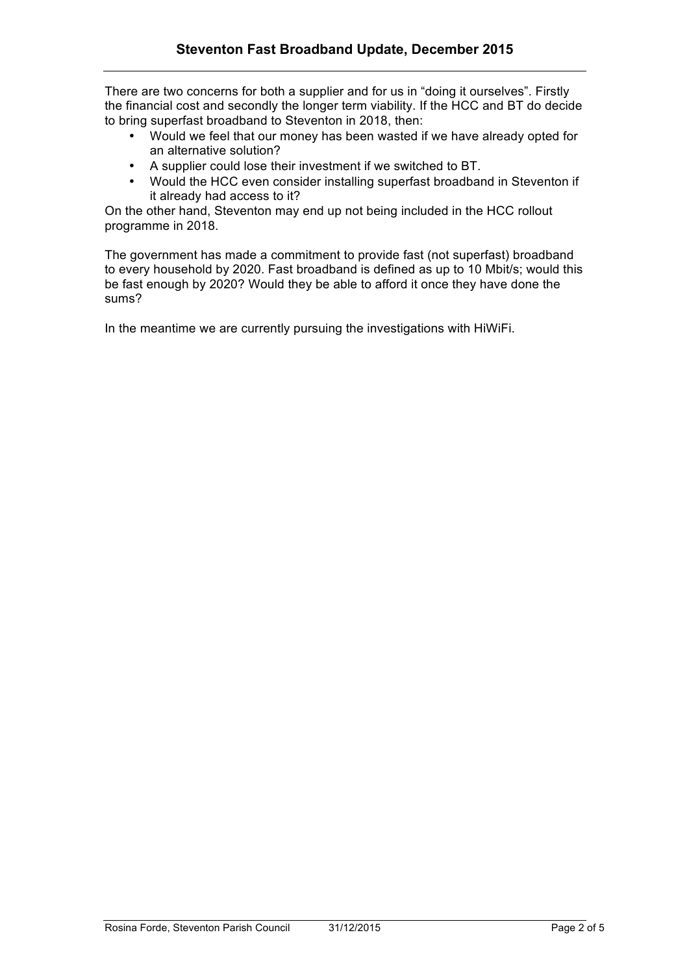There are two concerns for both a supplier and for us in "doing it ourselves". Firstly the financial cost and secondly the longer term viability. If the HCC and BT do decide to bring superfast broadband to Steventon in 2018, then:

- Would we feel that our money has been wasted if we have already opted for an alternative solution?
- A supplier could lose their investment if we switched to BT.
- Would the HCC even consider installing superfast broadband in Steventon if it already had access to it?

On the other hand, Steventon may end up not being included in the HCC rollout programme in 2018.

The government has made a commitment to provide fast (not superfast) broadband to every household by 2020. Fast broadband is defined as up to 10 Mbit/s; would this be fast enough by 2020? Would they be able to afford it once they have done the sums?

In the meantime we are currently pursuing the investigations with HiWiFi.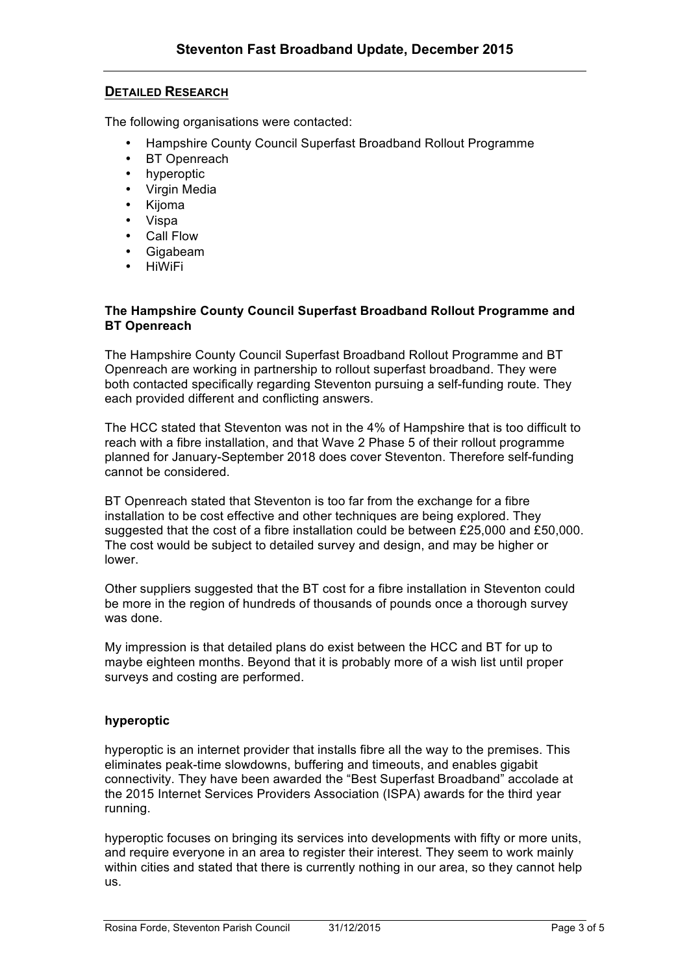# **DETAILED RESEARCH**

The following organisations were contacted:

- Hampshire County Council Superfast Broadband Rollout Programme
- **BT** Openreach
- hyperoptic
- Virgin Media
- Kijoma
- Vispa
- Call Flow
- Gigabeam
- HiWiFi

#### **The Hampshire County Council Superfast Broadband Rollout Programme and BT Openreach**

The Hampshire County Council Superfast Broadband Rollout Programme and BT Openreach are working in partnership to rollout superfast broadband. They were both contacted specifically regarding Steventon pursuing a self-funding route. They each provided different and conflicting answers.

The HCC stated that Steventon was not in the 4% of Hampshire that is too difficult to reach with a fibre installation, and that Wave 2 Phase 5 of their rollout programme planned for January-September 2018 does cover Steventon. Therefore self-funding cannot be considered.

BT Openreach stated that Steventon is too far from the exchange for a fibre installation to be cost effective and other techniques are being explored. They suggested that the cost of a fibre installation could be between £25,000 and £50,000. The cost would be subject to detailed survey and design, and may be higher or lower.

Other suppliers suggested that the BT cost for a fibre installation in Steventon could be more in the region of hundreds of thousands of pounds once a thorough survey was done.

My impression is that detailed plans do exist between the HCC and BT for up to maybe eighteen months. Beyond that it is probably more of a wish list until proper surveys and costing are performed.

## **hyperoptic**

hyperoptic is an internet provider that installs fibre all the way to the premises. This eliminates peak-time slowdowns, buffering and timeouts, and enables gigabit connectivity. They have been awarded the "Best Superfast Broadband" accolade at the 2015 Internet Services Providers Association (ISPA) awards for the third year running.

hyperoptic focuses on bringing its services into developments with fifty or more units, and require everyone in an area to register their interest. They seem to work mainly within cities and stated that there is currently nothing in our area, so they cannot help us.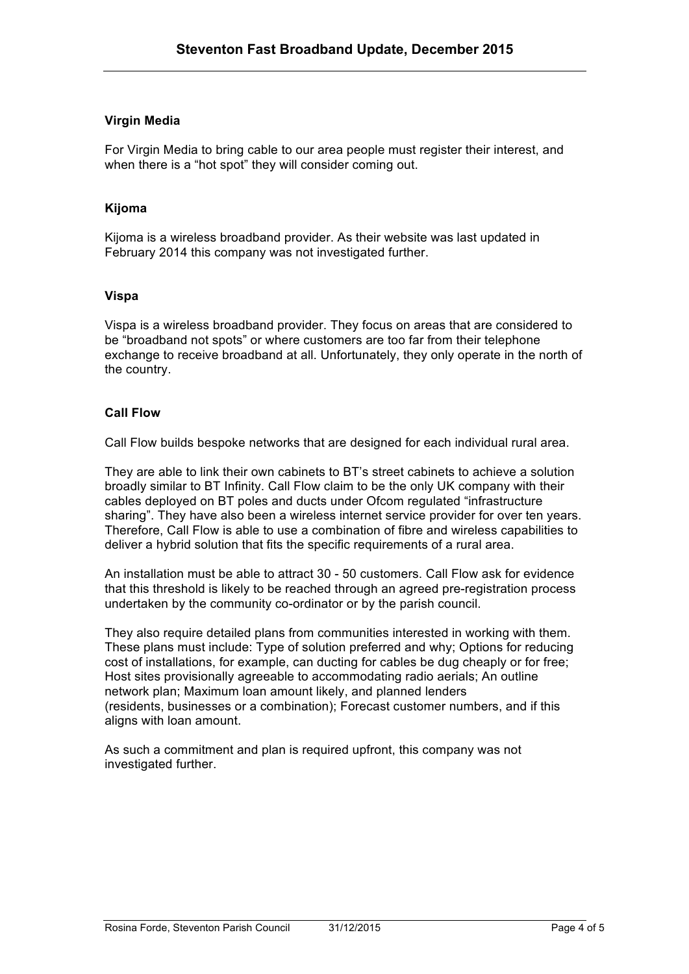# **Virgin Media**

For Virgin Media to bring cable to our area people must register their interest, and when there is a "hot spot" they will consider coming out.

## **Kijoma**

Kijoma is a wireless broadband provider. As their website was last updated in February 2014 this company was not investigated further.

#### **Vispa**

Vispa is a wireless broadband provider. They focus on areas that are considered to be "broadband not spots" or where customers are too far from their telephone exchange to receive broadband at all. Unfortunately, they only operate in the north of the country.

## **Call Flow**

Call Flow builds bespoke networks that are designed for each individual rural area.

They are able to link their own cabinets to BT's street cabinets to achieve a solution broadly similar to BT Infinity. Call Flow claim to be the only UK company with their cables deployed on BT poles and ducts under Ofcom regulated "infrastructure sharing". They have also been a wireless internet service provider for over ten years. Therefore, Call Flow is able to use a combination of fibre and wireless capabilities to deliver a hybrid solution that fits the specific requirements of a rural area.

An installation must be able to attract 30 - 50 customers. Call Flow ask for evidence that this threshold is likely to be reached through an agreed pre-registration process undertaken by the community co-ordinator or by the parish council.

They also require detailed plans from communities interested in working with them. These plans must include: Type of solution preferred and why; Options for reducing cost of installations, for example, can ducting for cables be dug cheaply or for free; Host sites provisionally agreeable to accommodating radio aerials; An outline network plan; Maximum loan amount likely, and planned lenders (residents, businesses or a combination); Forecast customer numbers, and if this aligns with loan amount.

As such a commitment and plan is required upfront, this company was not investigated further.